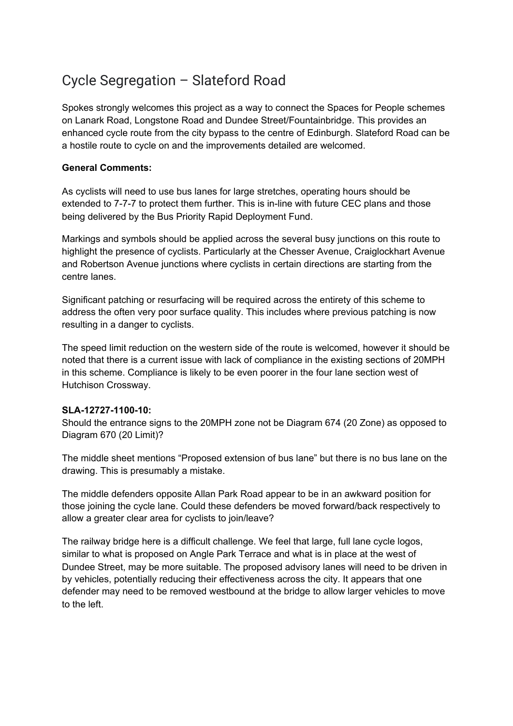# Cycle Segregation – Slateford Road

Spokes strongly welcomes this project as a way to connect the Spaces for People schemes on Lanark Road, Longstone Road and Dundee Street/Fountainbridge. This provides an enhanced cycle route from the city bypass to the centre of Edinburgh. Slateford Road can be a hostile route to cycle on and the improvements detailed are welcomed.

# **General Comments:**

As cyclists will need to use bus lanes for large stretches, operating hours should be extended to 7-7-7 to protect them further. This is in-line with future CEC plans and those being delivered by the Bus Priority Rapid Deployment Fund.

Markings and symbols should be applied across the several busy junctions on this route to highlight the presence of cyclists. Particularly at the Chesser Avenue, Craiglockhart Avenue and Robertson Avenue junctions where cyclists in certain directions are starting from the centre lanes.

Significant patching or resurfacing will be required across the entirety of this scheme to address the often very poor surface quality. This includes where previous patching is now resulting in a danger to cyclists.

The speed limit reduction on the western side of the route is welcomed, however it should be noted that there is a current issue with lack of compliance in the existing sections of 20MPH in this scheme. Compliance is likely to be even poorer in the four lane section west of Hutchison Crossway.

# **SLA-12727-1100-10:**

Should the entrance signs to the 20MPH zone not be Diagram 674 (20 Zone) as opposed to Diagram 670 (20 Limit)?

The middle sheet mentions "Proposed extension of bus lane" but there is no bus lane on the drawing. This is presumably a mistake.

The middle defenders opposite Allan Park Road appear to be in an awkward position for those joining the cycle lane. Could these defenders be moved forward/back respectively to allow a greater clear area for cyclists to join/leave?

The railway bridge here is a difficult challenge. We feel that large, full lane cycle logos, similar to what is proposed on Angle Park Terrace and what is in place at the west of Dundee Street, may be more suitable. The proposed advisory lanes will need to be driven in by vehicles, potentially reducing their effectiveness across the city. It appears that one defender may need to be removed westbound at the bridge to allow larger vehicles to move to the left.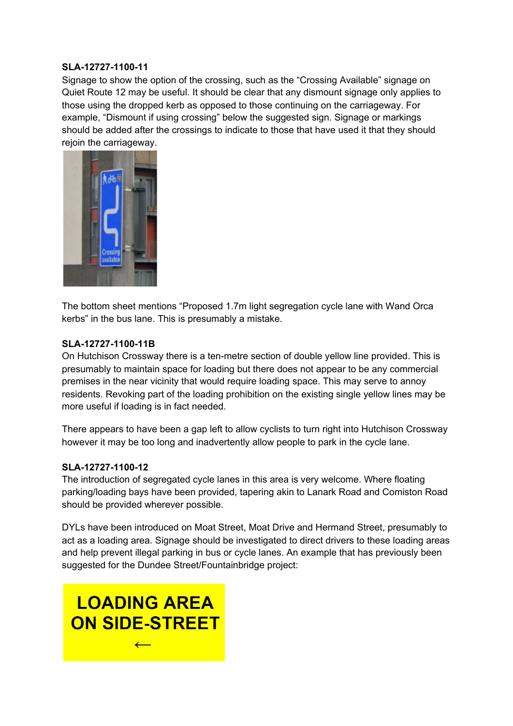# **SLA-12727-1100-11**

Signage to show the option of the crossing, such as the "Crossing Available" signage on Quiet Route 12 may be useful. It should be clear that any dismount signage only applies to those using the dropped kerb as opposed to those continuing on the carriageway. For example, "Dismount if using crossing" below the suggested sign. Signage or markings should be added after the crossings to indicate to those that have used it that they should rejoin the carriageway.



The bottom sheet mentions "Proposed 1.7m light segregation cycle lane with Wand Orca kerbs" in the bus lane. This is presumably a mistake.

#### **SLA-12727-1100-11B**

On Hutchison Crossway there is a ten-metre section of double yellow line provided. This is presumably to maintain space for loading but there does not appear to be any commercial premises in the near vicinity that would require loading space. This may serve to annoy residents. Revoking part of the loading prohibition on the existing single yellow lines may be more useful if loading is in fact needed.

There appears to have been a gap left to allow cyclists to turn right into Hutchison Crossway however it may be too long and inadvertently allow people to park in the cycle lane.

# **SLA-12727-1100-12**

The introduction of segregated cycle lanes in this area is very welcome. Where floating parking/loading bays have been provided, tapering akin to Lanark Road and Comiston Road should be provided wherever possible.

DYLs have been introduced on Moat Street, Moat Drive and Hermand Street, presumably to act as a loading area. Signage should be investigated to direct drivers to these loading areas and help prevent illegal parking in bus or cycle lanes. An example that has previously been suggested for the Dundee Street/Fountainbridge project: